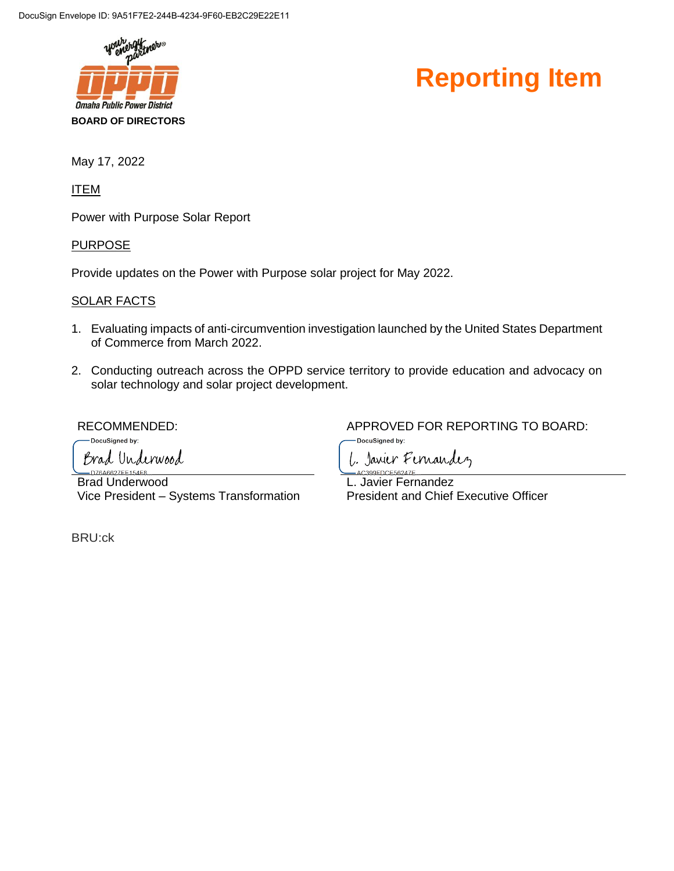



May 17, 2022

ITEM

Power with Purpose Solar Report

**PURPOSE** 

Provide updates on the Power with Purpose solar project for May 2022.

#### SOLAR FACTS

- 1. Evaluating impacts of anti-circumvention investigation launched by the United States Department of Commerce from March 2022.
- 2. Conducting outreach across the OPPD service territory to provide education and advocacy on solar technology and solar project development.

DocuSigned by: Brad Underwood  $-$ DZ6A662ZEE154E8

Brad Underwood Vice President – Systems Transformation

BRU:ck

RECOMMENDED:  $APPROVED$  FOR REPORTING TO BOARD:

DocuSigned by:



L. Javier Fernandez President and Chief Executive Officer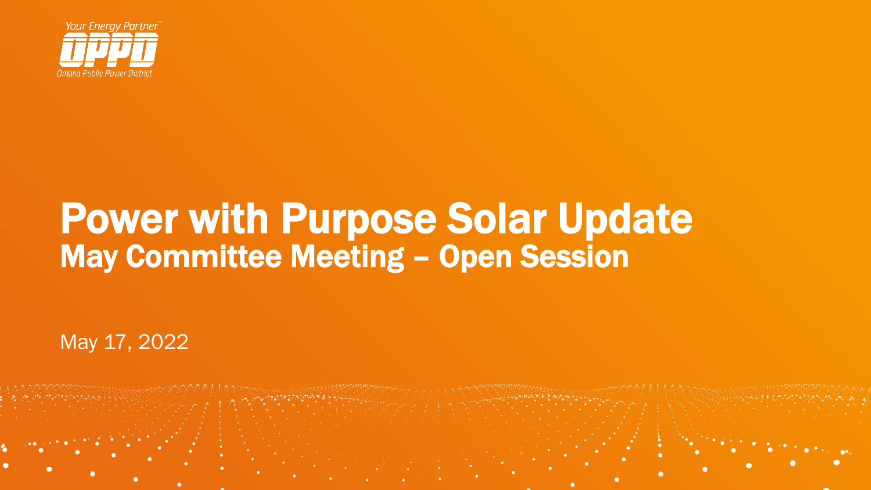

# Power with Purpose Solar Update May Committee Meeting – Open Session

May 17, 2022

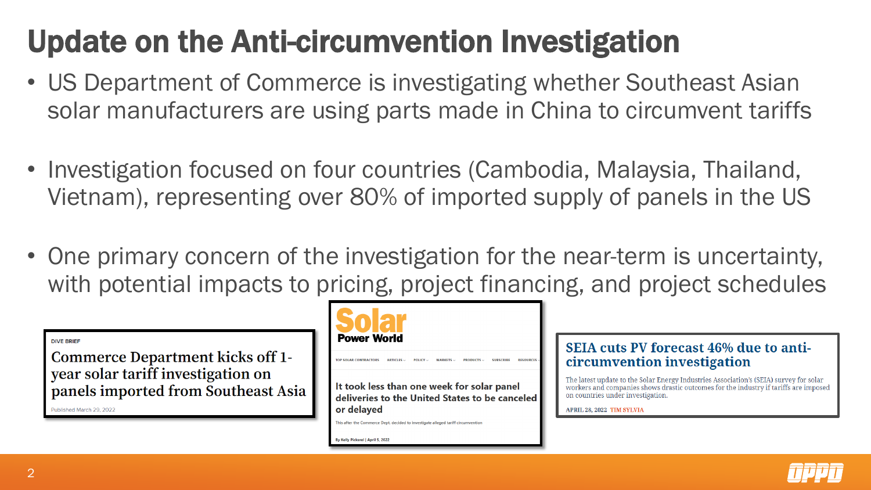## Update on the Anti-circumvention Investigation

- US Department of Commerce is investigating whether Southeast Asian solar manufacturers are using parts made in China to circumvent tariffs
- Investigation focused on four countries (Cambodia, Malaysia, Thailand, Vietnam), representing over 80% of imported supply of panels in the US
- One primary concern of the investigation for the near-term is uncertainty, with potential impacts to pricing, project financing, and project schedules

**DIVE BRIEF** 

**Commerce Department kicks off 1**year solar tariff investigation on panels imported from Southeast Asia

Published March 29, 2022



It took less than one week for solar panel deliveries to the United States to be canceled or delayed

This after the Commerce Dept. decided to investigate alleged tariff circumvention

By Kelly Pickerel | April 5, 2022

### SEIA cuts PV forecast 46% due to anticircumvention investigation

The latest update to the Solar Energy Industries Association's (SEIA) survey for solar workers and companies shows drastic outcomes for the industry if tariffs are imposed on countries under investigation.

APRIL 28, 2022 TIM SYLVIA

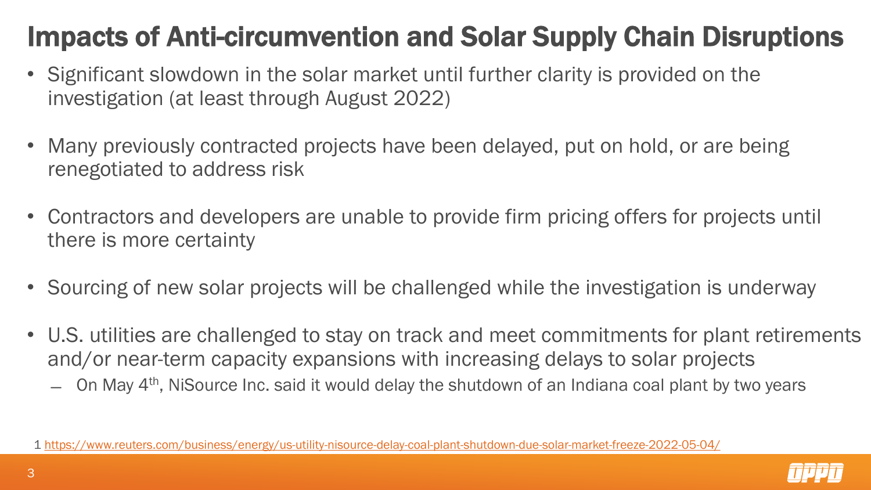### Impacts of Anti-circumvention and Solar Supply Chain Disruptions

- Significant slowdown in the solar market until further clarity is provided on the investigation (at least through August 2022)
- Many previously contracted projects have been delayed, put on hold, or are being renegotiated to address risk
- Contractors and developers are unable to provide firm pricing offers for projects until there is more certainty
- Sourcing of new solar projects will be challenged while the investigation is underway
- U.S. utilities are challenged to stay on track and meet commitments for plant retirements and/or near-term capacity expansions with increasing delays to solar projects
	- On May 4<sup>th</sup>, NiSource Inc. said it would delay the shutdown of an Indiana coal plant by two years



<sup>1</sup> <https://www.reuters.com/business/energy/us-utility-nisource-delay-coal-plant-shutdown-due-solar-market-freeze-2022-05-04/>